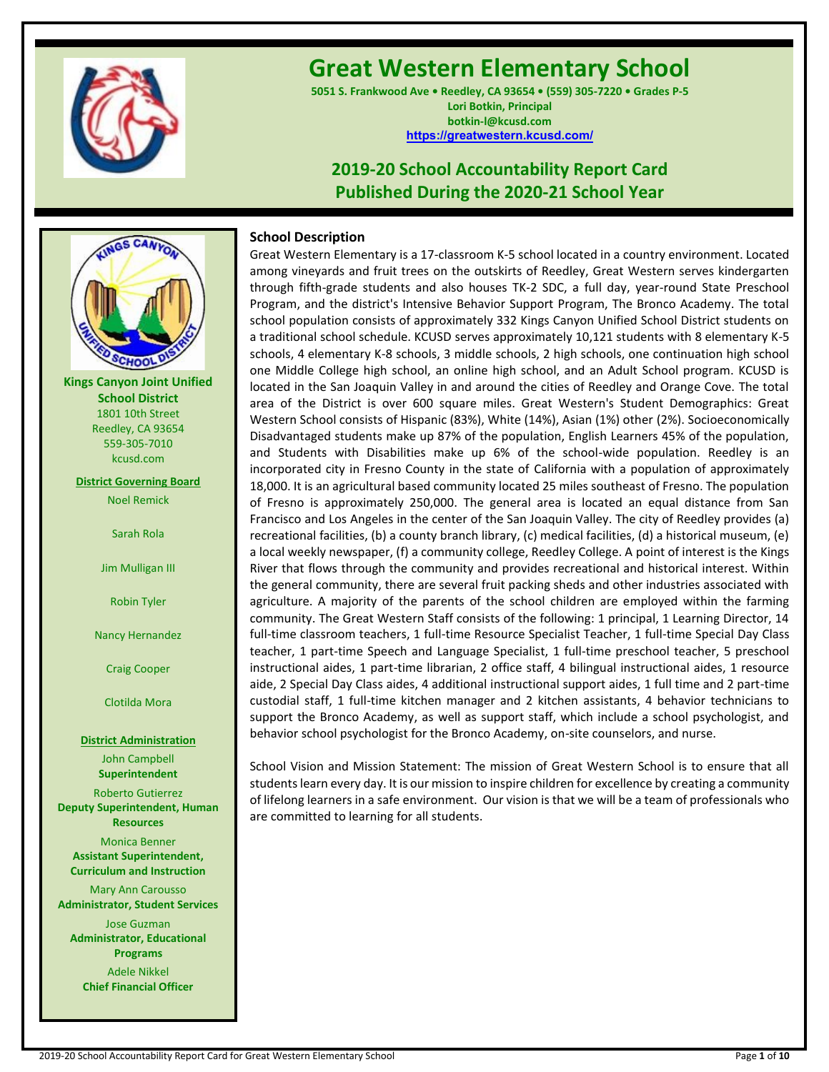

# **Great Western Elementary School**

**5051 S. Frankwood Ave • Reedley, CA 93654 • (559) 305-7220 • Grades P-5 Lori Botkin, Principal botkin-l@kcusd.com <https://greatwestern.kcusd.com/>**

# **2019-20 School Accountability Report Card Published During the 2020-21 School Year**



**Kings Canyon Joint Unified School District** 1801 10th Street Reedley, CA 93654 559-305-7010 kcusd.com

**District Governing Board**

Noel Remick

Sarah Rola

Jim Mulligan III

Robin Tyler

Nancy Hernandez

Craig Cooper

Clotilda Mora

**District Administration** John Campbell **Superintendent**

Roberto Gutierrez **Deputy Superintendent, Human Resources**

Monica Benner **Assistant Superintendent, Curriculum and Instruction**

Mary Ann Carousso **Administrator, Student Services**

Jose Guzman **Administrator, Educational Programs**

Adele Nikkel **Chief Financial Officer**

# **School Description**

Great Western Elementary is a 17-classroom K-5 school located in a country environment. Located among vineyards and fruit trees on the outskirts of Reedley, Great Western serves kindergarten through fifth-grade students and also houses TK-2 SDC, a full day, year-round State Preschool Program, and the district's Intensive Behavior Support Program, The Bronco Academy. The total school population consists of approximately 332 Kings Canyon Unified School District students on a traditional school schedule. KCUSD serves approximately 10,121 students with 8 elementary K-5 schools, 4 elementary K-8 schools, 3 middle schools, 2 high schools, one continuation high school one Middle College high school, an online high school, and an Adult School program. KCUSD is located in the San Joaquin Valley in and around the cities of Reedley and Orange Cove. The total area of the District is over 600 square miles. Great Western's Student Demographics: Great Western School consists of Hispanic (83%), White (14%), Asian (1%) other (2%). Socioeconomically Disadvantaged students make up 87% of the population, English Learners 45% of the population, and Students with Disabilities make up 6% of the school-wide population. Reedley is an incorporated city in Fresno County in the state of California with a population of approximately 18,000. It is an agricultural based community located 25 miles southeast of Fresno. The population of Fresno is approximately 250,000. The general area is located an equal distance from San Francisco and Los Angeles in the center of the San Joaquin Valley. The city of Reedley provides (a) recreational facilities, (b) a county branch library, (c) medical facilities, (d) a historical museum, (e) a local weekly newspaper, (f) a community college, Reedley College. A point of interest is the Kings River that flows through the community and provides recreational and historical interest. Within the general community, there are several fruit packing sheds and other industries associated with agriculture. A majority of the parents of the school children are employed within the farming community. The Great Western Staff consists of the following: 1 principal, 1 Learning Director, 14 full-time classroom teachers, 1 full-time Resource Specialist Teacher, 1 full-time Special Day Class teacher, 1 part-time Speech and Language Specialist, 1 full-time preschool teacher, 5 preschool instructional aides, 1 part-time librarian, 2 office staff, 4 bilingual instructional aides, 1 resource aide, 2 Special Day Class aides, 4 additional instructional support aides, 1 full time and 2 part-time custodial staff, 1 full-time kitchen manager and 2 kitchen assistants, 4 behavior technicians to support the Bronco Academy, as well as support staff, which include a school psychologist, and behavior school psychologist for the Bronco Academy, on-site counselors, and nurse.

School Vision and Mission Statement: The mission of Great Western School is to ensure that all students learn every day. It is our mission to inspire children for excellence by creating a community of lifelong learners in a safe environment. Our vision is that we will be a team of professionals who are committed to learning for all students.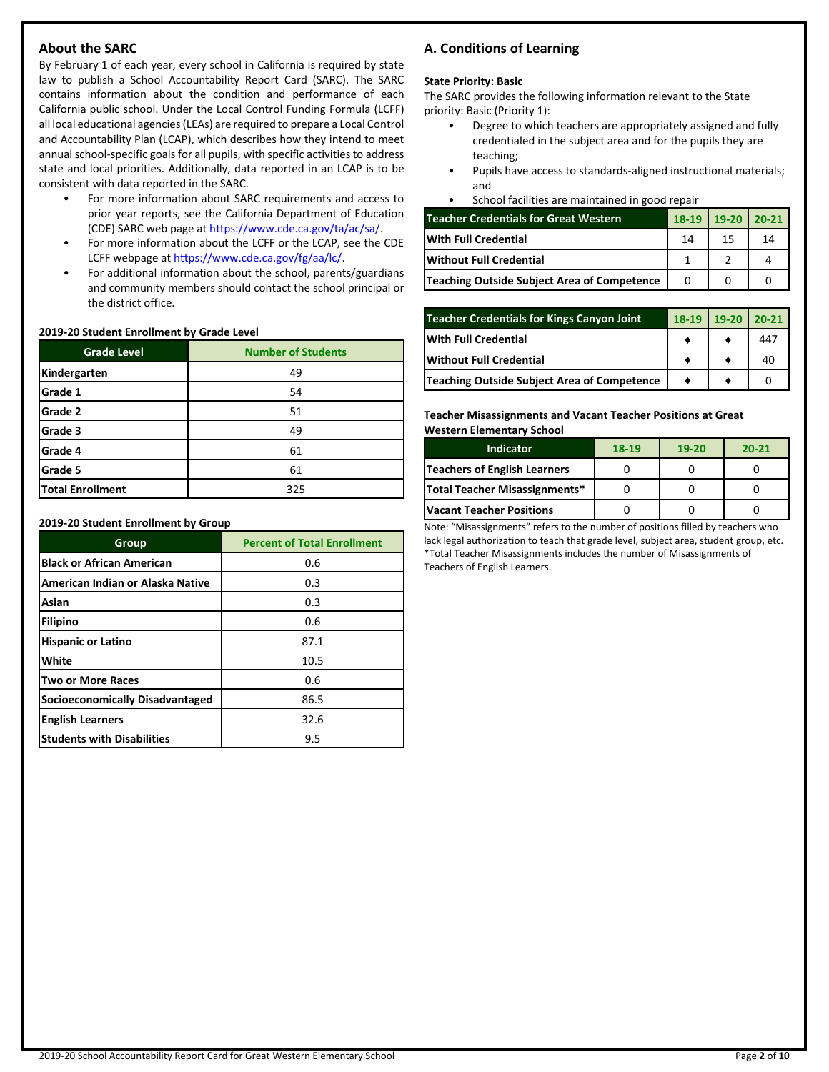# **About the SARC**

By February 1 of each year, every school in California is required by state law to publish a School Accountability Report Card (SARC). The SARC contains information about the condition and performance of each California public school. Under the Local Control Funding Formula (LCFF) all local educational agencies (LEAs) are required to prepare a Local Control and Accountability Plan (LCAP), which describes how they intend to meet annual school-specific goals for all pupils, with specific activities to address state and local priorities. Additionally, data reported in an LCAP is to be consistent with data reported in the SARC.

- For more information about SARC requirements and access to prior year reports, see the California Department of Education (CDE) SARC web page at [https://www.cde.ca.gov/ta/ac/sa/.](https://www.cde.ca.gov/ta/ac/sa/)
- For more information about the LCFF or the LCAP, see the CDE LCFF webpage a[t https://www.cde.ca.gov/fg/aa/lc/.](https://www.cde.ca.gov/fg/aa/lc/)
- For additional information about the school, parents/guardians and community members should contact the school principal or the district office.

### **2019-20 Student Enrollment by Grade Level**

| <b>Grade Level</b>      | <b>Number of Students</b> |  |  |  |
|-------------------------|---------------------------|--|--|--|
| Kindergarten            | 49                        |  |  |  |
| Grade 1                 | 54                        |  |  |  |
| Grade 2                 | 51                        |  |  |  |
| Grade 3                 | 49                        |  |  |  |
| Grade 4                 | 61                        |  |  |  |
| Grade 5                 | 61                        |  |  |  |
| <b>Total Enrollment</b> | 325                       |  |  |  |

### **2019-20 Student Enrollment by Group**

| Group                             | <b>Percent of Total Enrollment</b> |  |  |  |
|-----------------------------------|------------------------------------|--|--|--|
| <b>Black or African American</b>  | 0.6                                |  |  |  |
| American Indian or Alaska Native  | 0.3                                |  |  |  |
| Asian                             | 0.3                                |  |  |  |
| Filipino                          | 0.6                                |  |  |  |
| <b>Hispanic or Latino</b>         | 87.1                               |  |  |  |
| White                             | 10.5                               |  |  |  |
| <b>Two or More Races</b>          | 0.6                                |  |  |  |
| Socioeconomically Disadvantaged   | 86.5                               |  |  |  |
| <b>English Learners</b>           | 32.6                               |  |  |  |
| <b>Students with Disabilities</b> | 9.5                                |  |  |  |

# **A. Conditions of Learning**

### **State Priority: Basic**

The SARC provides the following information relevant to the State priority: Basic (Priority 1):

- Degree to which teachers are appropriately assigned and fully credentialed in the subject area and for the pupils they are teaching;
- Pupils have access to standards-aligned instructional materials; and
- School facilities are maintained in good repair

| <b>Teacher Credentials for Great Western</b> |    | $19-20$ 20-21 |    |
|----------------------------------------------|----|---------------|----|
| <b>With Full Credential</b>                  | 14 | 15            | 14 |
| Without Full Credential                      |    |               |    |
| Teaching Outside Subject Area of Competence  |    |               |    |

| <b>Teacher Credentials for Kings Canyon Joint</b> | 18-19 19-20 | $20-21$ |
|---------------------------------------------------|-------------|---------|
| With Full Credential                              |             | 447     |
| Without Full Credential                           |             | 40      |
| Teaching Outside Subject Area of Competence       |             |         |

**Teacher Misassignments and Vacant Teacher Positions at Great Western Elementary School**

| <b>Indicator</b>                | 18-19 | $19-20$ | $20 - 21$ |
|---------------------------------|-------|---------|-----------|
| Teachers of English Learners    |       |         |           |
| Total Teacher Misassignments*   |       |         |           |
| <b>Vacant Teacher Positions</b> |       |         |           |

Note: "Misassignments" refers to the number of positions filled by teachers who lack legal authorization to teach that grade level, subject area, student group, etc. \*Total Teacher Misassignments includes the number of Misassignments of Teachers of English Learners.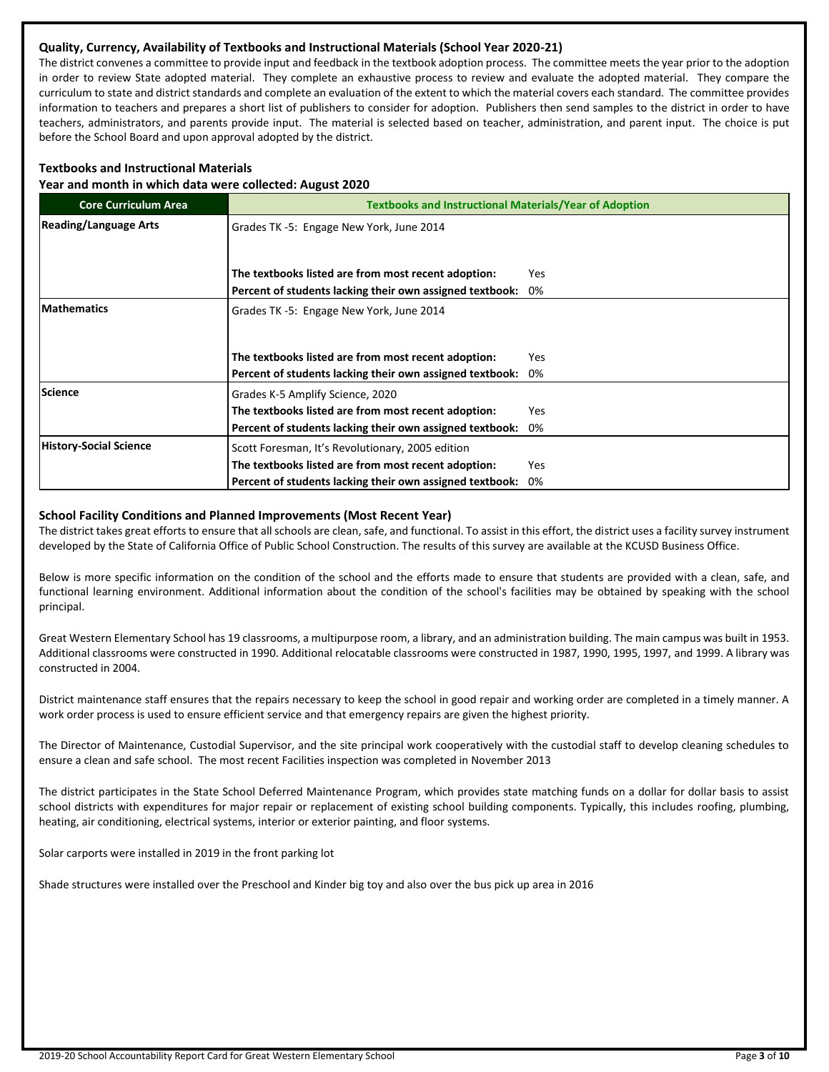# **Quality, Currency, Availability of Textbooks and Instructional Materials (School Year 2020-21)**

The district convenes a committee to provide input and feedback in the textbook adoption process. The committee meets the year prior to the adoption in order to review State adopted material. They complete an exhaustive process to review and evaluate the adopted material. They compare the curriculum to state and district standards and complete an evaluation of the extent to which the material covers each standard. The committee provides information to teachers and prepares a short list of publishers to consider for adoption. Publishers then send samples to the district in order to have teachers, administrators, and parents provide input. The material is selected based on teacher, administration, and parent input. The choice is put before the School Board and upon approval adopted by the district.

# **Textbooks and Instructional Materials**

**Year and month in which data were collected: August 2020**

| <b>Core Curriculum Area</b>   | <b>Textbooks and Instructional Materials/Year of Adoption</b> |            |  |  |  |  |
|-------------------------------|---------------------------------------------------------------|------------|--|--|--|--|
| <b>Reading/Language Arts</b>  | Grades TK -5: Engage New York, June 2014                      |            |  |  |  |  |
|                               |                                                               |            |  |  |  |  |
|                               | The textbooks listed are from most recent adoption:           | Yes        |  |  |  |  |
|                               | Percent of students lacking their own assigned textbook:      | 0%         |  |  |  |  |
| <b>Mathematics</b>            | Grades TK -5: Engage New York, June 2014                      |            |  |  |  |  |
|                               |                                                               |            |  |  |  |  |
|                               | The textbooks listed are from most recent adoption:           | Yes        |  |  |  |  |
|                               | Percent of students lacking their own assigned textbook:      | 0%         |  |  |  |  |
| <b>Science</b>                | Grades K-5 Amplify Science, 2020                              |            |  |  |  |  |
|                               | The textbooks listed are from most recent adoption:           | <b>Yes</b> |  |  |  |  |
|                               | Percent of students lacking their own assigned textbook:      | 0%         |  |  |  |  |
| <b>History-Social Science</b> | Scott Foresman, It's Revolutionary, 2005 edition              |            |  |  |  |  |
|                               | The textbooks listed are from most recent adoption:           | Yes        |  |  |  |  |
|                               | Percent of students lacking their own assigned textbook:      | 0%         |  |  |  |  |

### **School Facility Conditions and Planned Improvements (Most Recent Year)**

The district takes great efforts to ensure that all schools are clean, safe, and functional. To assist in this effort, the district uses a facility survey instrument developed by the State of California Office of Public School Construction. The results of this survey are available at the KCUSD Business Office.

Below is more specific information on the condition of the school and the efforts made to ensure that students are provided with a clean, safe, and functional learning environment. Additional information about the condition of the school's facilities may be obtained by speaking with the school principal.

Great Western Elementary School has 19 classrooms, a multipurpose room, a library, and an administration building. The main campus was built in 1953. Additional classrooms were constructed in 1990. Additional relocatable classrooms were constructed in 1987, 1990, 1995, 1997, and 1999. A library was constructed in 2004.

District maintenance staff ensures that the repairs necessary to keep the school in good repair and working order are completed in a timely manner. A work order process is used to ensure efficient service and that emergency repairs are given the highest priority.

The Director of Maintenance, Custodial Supervisor, and the site principal work cooperatively with the custodial staff to develop cleaning schedules to ensure a clean and safe school. The most recent Facilities inspection was completed in November 2013

The district participates in the State School Deferred Maintenance Program, which provides state matching funds on a dollar for dollar basis to assist school districts with expenditures for major repair or replacement of existing school building components. Typically, this includes roofing, plumbing, heating, air conditioning, electrical systems, interior or exterior painting, and floor systems.

Solar carports were installed in 2019 in the front parking lot

Shade structures were installed over the Preschool and Kinder big toy and also over the bus pick up area in 2016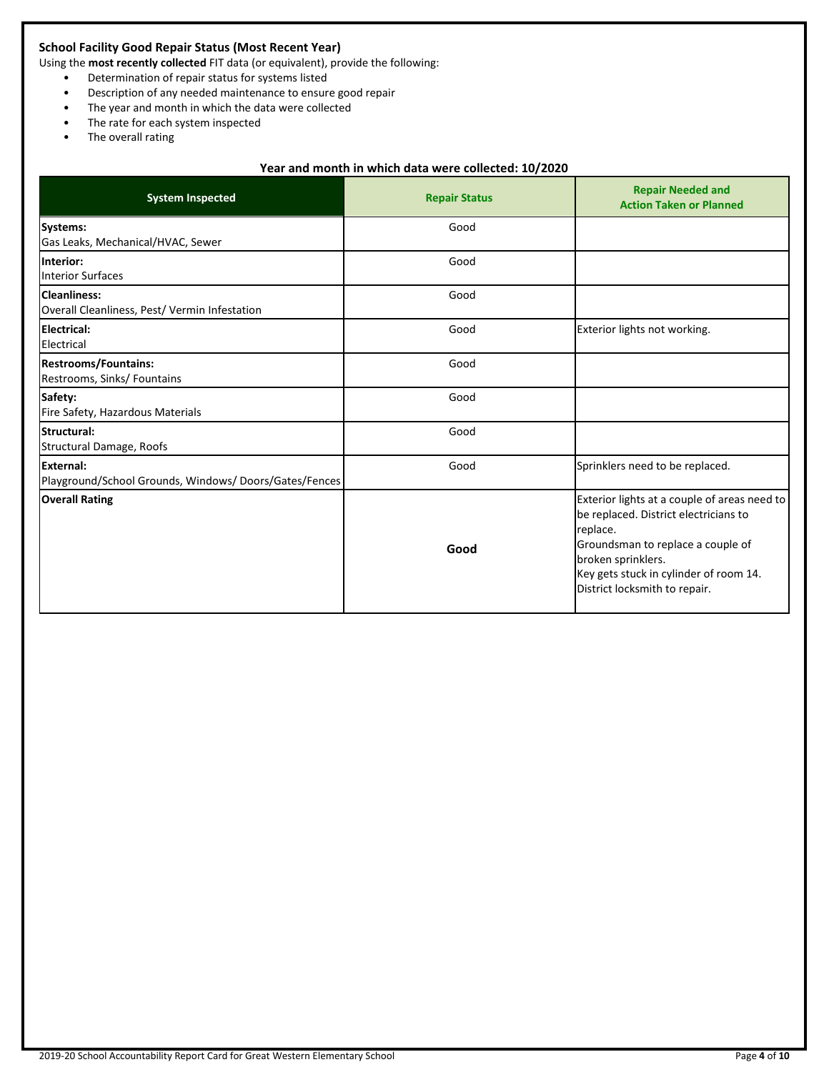# **School Facility Good Repair Status (Most Recent Year)**

Using the **most recently collected** FIT data (or equivalent), provide the following:

- Determination of repair status for systems listed
- Description of any needed maintenance to ensure good repair
- The year and month in which the data were collected
- The rate for each system inspected
- The overall rating

# **Year and month in which data were collected: 10/2020**

| <b>System Inspected</b>                                              | <b>Repair Status</b> | <b>Repair Needed and</b><br><b>Action Taken or Planned</b>                                                                                                                                                                              |
|----------------------------------------------------------------------|----------------------|-----------------------------------------------------------------------------------------------------------------------------------------------------------------------------------------------------------------------------------------|
| <b>Systems:</b><br>Gas Leaks, Mechanical/HVAC, Sewer                 | Good                 |                                                                                                                                                                                                                                         |
| Interior:<br><b>Interior Surfaces</b>                                | Good                 |                                                                                                                                                                                                                                         |
| <b>Cleanliness:</b><br>Overall Cleanliness, Pest/ Vermin Infestation | Good                 |                                                                                                                                                                                                                                         |
| Electrical:<br>Electrical                                            | Good                 | Exterior lights not working.                                                                                                                                                                                                            |
| <b>Restrooms/Fountains:</b><br>Restrooms, Sinks/ Fountains           | Good                 |                                                                                                                                                                                                                                         |
| Safety:<br>Fire Safety, Hazardous Materials                          | Good                 |                                                                                                                                                                                                                                         |
| Structural:<br>Structural Damage, Roofs                              | Good                 |                                                                                                                                                                                                                                         |
| External:<br>Playground/School Grounds, Windows/Doors/Gates/Fences   | Good                 | Sprinklers need to be replaced.                                                                                                                                                                                                         |
| <b>Overall Rating</b>                                                | Good                 | Exterior lights at a couple of areas need to<br>be replaced. District electricians to<br>replace.<br>Groundsman to replace a couple of<br>broken sprinklers.<br>Key gets stuck in cylinder of room 14.<br>District locksmith to repair. |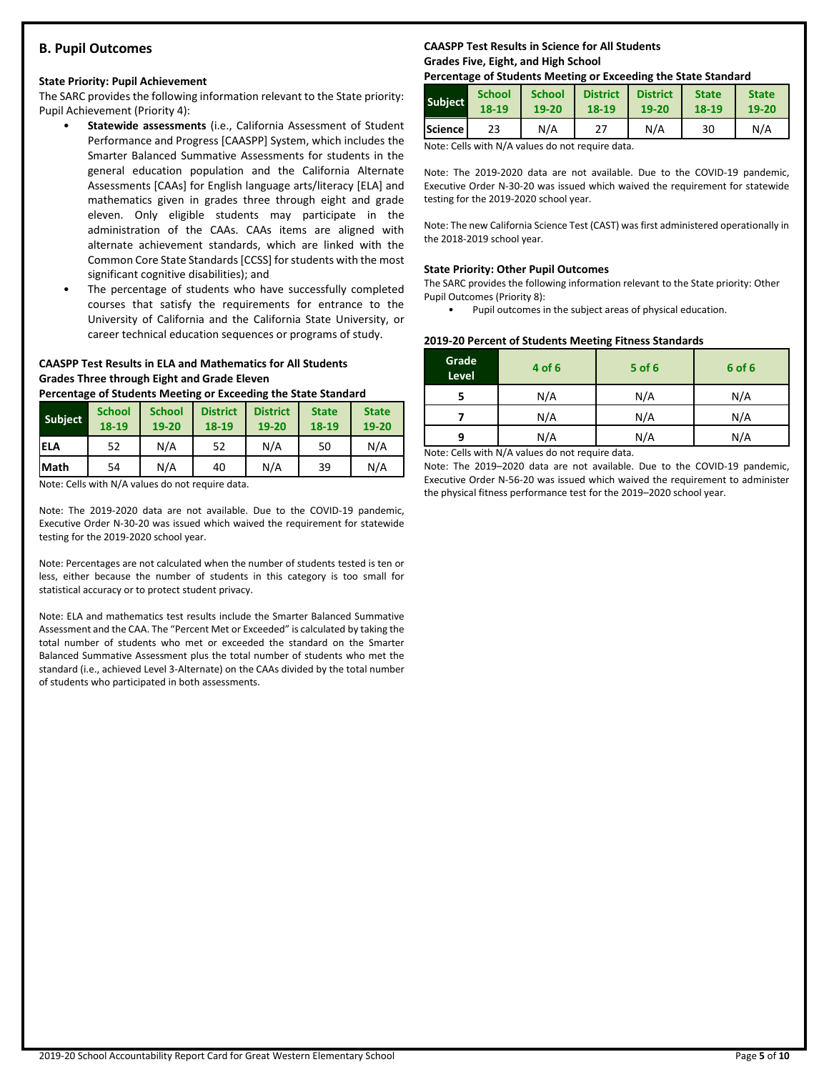# **B. Pupil Outcomes**

### **State Priority: Pupil Achievement**

The SARC provides the following information relevant to the State priority: Pupil Achievement (Priority 4):

- **Statewide assessments** (i.e., California Assessment of Student Performance and Progress [CAASPP] System, which includes the Smarter Balanced Summative Assessments for students in the general education population and the California Alternate Assessments [CAAs] for English language arts/literacy [ELA] and mathematics given in grades three through eight and grade eleven. Only eligible students may participate in the administration of the CAAs. CAAs items are aligned with alternate achievement standards, which are linked with the Common Core State Standards [CCSS] for students with the most significant cognitive disabilities); and
- The percentage of students who have successfully completed courses that satisfy the requirements for entrance to the University of California and the California State University, or career technical education sequences or programs of study.

### **CAASPP Test Results in ELA and Mathematics for All Students Grades Three through Eight and Grade Eleven**

**Percentage of Students Meeting or Exceeding the State Standard**

| <b>Subject</b> | <b>School</b><br>18-19 | <b>School</b><br>19-20 | <b>District</b><br>18-19 | <b>District</b><br>19-20 | <b>State</b><br>18-19 | <b>State</b><br>19-20 |
|----------------|------------------------|------------------------|--------------------------|--------------------------|-----------------------|-----------------------|
| iela           | 52                     | N/A                    | 52                       | N/A                      | 50                    | N/A                   |
| <b>Math</b>    | 54                     | N/A                    | 40                       | N/A                      | 39                    | N/A                   |

Note: Cells with N/A values do not require data.

Note: The 2019-2020 data are not available. Due to the COVID-19 pandemic, Executive Order N-30-20 was issued which waived the requirement for statewide testing for the 2019-2020 school year.

Note: Percentages are not calculated when the number of students tested is ten or less, either because the number of students in this category is too small for statistical accuracy or to protect student privacy.

Note: ELA and mathematics test results include the Smarter Balanced Summative Assessment and the CAA. The "Percent Met or Exceeded" is calculated by taking the total number of students who met or exceeded the standard on the Smarter Balanced Summative Assessment plus the total number of students who met the standard (i.e., achieved Level 3-Alternate) on the CAAs divided by the total number of students who participated in both assessments.

# **CAASPP Test Results in Science for All Students Grades Five, Eight, and High School**

### **Percentage of Students Meeting or Exceeding the State Standard**

| <b>Subject</b> | <b>School</b> | <b>School</b> | <b>District</b> | <b>District</b> | <b>State</b> | <b>State</b> |
|----------------|---------------|---------------|-----------------|-----------------|--------------|--------------|
|                | 18-19         | 19-20         | 18-19           | 19-20           | 18-19        | 19-20        |
| <b>Science</b> | 23            | N/A           | 27              | N/A             | 30           | N/A          |

Note: Cells with N/A values do not require data.

Note: The 2019-2020 data are not available. Due to the COVID-19 pandemic, Executive Order N-30-20 was issued which waived the requirement for statewide testing for the 2019-2020 school year.

Note: The new California Science Test (CAST) was first administered operationally in the 2018-2019 school year.

#### **State Priority: Other Pupil Outcomes**

The SARC provides the following information relevant to the State priority: Other Pupil Outcomes (Priority 8):

Pupil outcomes in the subject areas of physical education.

# **2019-20 Percent of Students Meeting Fitness Standards**

| 4 of 6 | $5$ of 6 | 6 of 6 |
|--------|----------|--------|
| N/A    | N/A      | N/A    |
| N/A    | N/A      | N/A    |
| N/A    | N/A      | N/A    |
|        |          |        |

Note: Cells with N/A values do not require data.

Note: The 2019–2020 data are not available. Due to the COVID-19 pandemic, Executive Order N-56-20 was issued which waived the requirement to administer the physical fitness performance test for the 2019–2020 school year.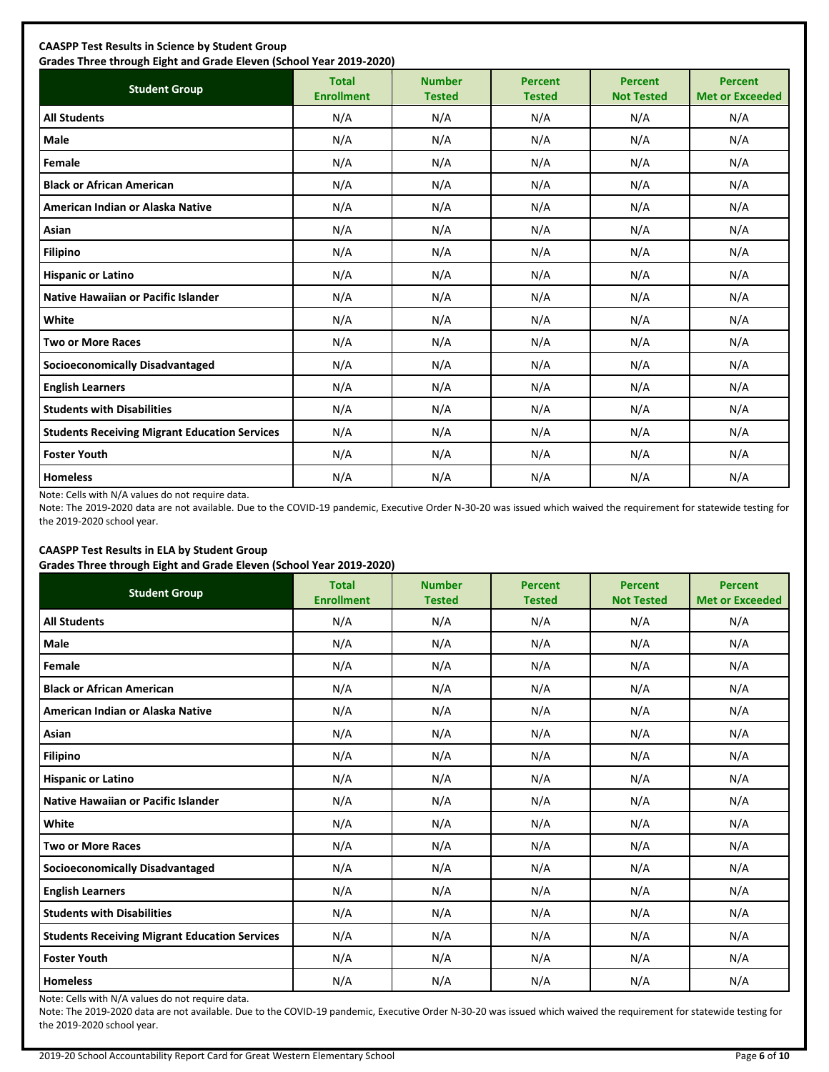| <b>Student Group</b>                                 | <b>Total</b><br><b>Enrollment</b> | <b>Number</b><br><b>Tested</b> | <b>Percent</b><br><b>Tested</b> | <b>Percent</b><br><b>Not Tested</b> | <b>Percent</b><br><b>Met or Exceeded</b> |
|------------------------------------------------------|-----------------------------------|--------------------------------|---------------------------------|-------------------------------------|------------------------------------------|
| <b>All Students</b>                                  | N/A                               | N/A                            | N/A                             | N/A                                 | N/A                                      |
| Male                                                 | N/A                               | N/A                            | N/A                             | N/A                                 | N/A                                      |
| Female                                               | N/A                               | N/A                            | N/A                             | N/A                                 | N/A                                      |
| <b>Black or African American</b>                     | N/A                               | N/A                            | N/A                             | N/A                                 | N/A                                      |
| American Indian or Alaska Native                     | N/A                               | N/A                            | N/A                             | N/A                                 | N/A                                      |
| Asian                                                | N/A                               | N/A                            | N/A                             | N/A                                 | N/A                                      |
| <b>Filipino</b>                                      | N/A                               | N/A                            | N/A                             | N/A                                 | N/A                                      |
| <b>Hispanic or Latino</b>                            | N/A                               | N/A                            | N/A                             | N/A                                 | N/A                                      |
| <b>Native Hawaiian or Pacific Islander</b>           | N/A                               | N/A                            | N/A                             | N/A                                 | N/A                                      |
| White                                                | N/A                               | N/A                            | N/A                             | N/A                                 | N/A                                      |
| <b>Two or More Races</b>                             | N/A                               | N/A                            | N/A                             | N/A                                 | N/A                                      |
| <b>Socioeconomically Disadvantaged</b>               | N/A                               | N/A                            | N/A                             | N/A                                 | N/A                                      |
| <b>English Learners</b>                              | N/A                               | N/A                            | N/A                             | N/A                                 | N/A                                      |
| <b>Students with Disabilities</b>                    | N/A                               | N/A                            | N/A                             | N/A                                 | N/A                                      |
| <b>Students Receiving Migrant Education Services</b> | N/A                               | N/A                            | N/A                             | N/A                                 | N/A                                      |
| <b>Foster Youth</b>                                  | N/A                               | N/A                            | N/A                             | N/A                                 | N/A                                      |
| <b>Homeless</b>                                      | N/A                               | N/A                            | N/A                             | N/A                                 | N/A                                      |

Note: Cells with N/A values do not require data.

Note: The 2019-2020 data are not available. Due to the COVID-19 pandemic, Executive Order N-30-20 was issued which waived the requirement for statewide testing for the 2019-2020 school year.

# **CAASPP Test Results in ELA by Student Group**

**Grades Three through Eight and Grade Eleven (School Year 2019-2020)**

| <b>Student Group</b>                                 | <b>Total</b><br><b>Enrollment</b> | <b>Number</b><br><b>Tested</b> | <b>Percent</b><br><b>Tested</b> | <b>Percent</b><br><b>Not Tested</b> | <b>Percent</b><br><b>Met or Exceeded</b> |
|------------------------------------------------------|-----------------------------------|--------------------------------|---------------------------------|-------------------------------------|------------------------------------------|
| <b>All Students</b>                                  | N/A                               | N/A                            | N/A                             | N/A                                 | N/A                                      |
| Male                                                 | N/A                               | N/A                            | N/A                             | N/A                                 | N/A                                      |
| Female                                               | N/A                               | N/A                            | N/A                             | N/A                                 | N/A                                      |
| <b>Black or African American</b>                     | N/A                               | N/A                            | N/A                             | N/A                                 | N/A                                      |
| American Indian or Alaska Native                     | N/A                               | N/A                            | N/A                             | N/A                                 | N/A                                      |
| Asian                                                | N/A                               | N/A                            | N/A                             | N/A                                 | N/A                                      |
| <b>Filipino</b>                                      | N/A                               | N/A                            | N/A                             | N/A                                 | N/A                                      |
| <b>Hispanic or Latino</b>                            | N/A                               | N/A                            | N/A                             | N/A                                 | N/A                                      |
| Native Hawaiian or Pacific Islander                  | N/A                               | N/A                            | N/A                             | N/A                                 | N/A                                      |
| White                                                | N/A                               | N/A                            | N/A                             | N/A                                 | N/A                                      |
| <b>Two or More Races</b>                             | N/A                               | N/A                            | N/A                             | N/A                                 | N/A                                      |
| <b>Socioeconomically Disadvantaged</b>               | N/A                               | N/A                            | N/A                             | N/A                                 | N/A                                      |
| <b>English Learners</b>                              | N/A                               | N/A                            | N/A                             | N/A                                 | N/A                                      |
| <b>Students with Disabilities</b>                    | N/A                               | N/A                            | N/A                             | N/A                                 | N/A                                      |
| <b>Students Receiving Migrant Education Services</b> | N/A                               | N/A                            | N/A                             | N/A                                 | N/A                                      |
| <b>Foster Youth</b>                                  | N/A                               | N/A                            | N/A                             | N/A                                 | N/A                                      |
| <b>Homeless</b>                                      | N/A                               | N/A                            | N/A                             | N/A                                 | N/A                                      |

Note: Cells with N/A values do not require data.

Note: The 2019-2020 data are not available. Due to the COVID-19 pandemic, Executive Order N-30-20 was issued which waived the requirement for statewide testing for the 2019-2020 school year.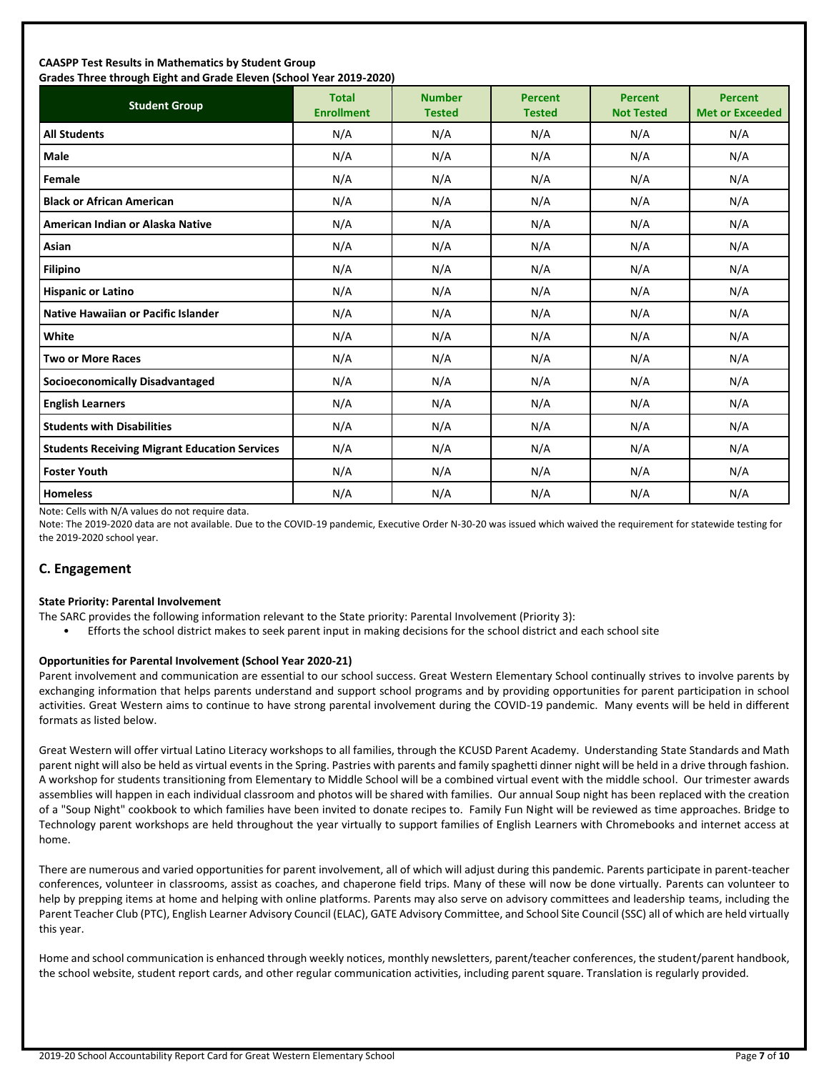### **CAASPP Test Results in Mathematics by Student Group Grades Three through Eight and Grade Eleven (School Year 2019-2020)**

| andes mice anoggii agna and ardue actem penoor redi 2015 2020;<br><b>Student Group</b> | <b>Total</b><br><b>Enrollment</b> | <b>Number</b><br><b>Tested</b> | <b>Percent</b><br><b>Tested</b> | <b>Percent</b><br><b>Not Tested</b> | <b>Percent</b><br><b>Met or Exceeded</b> |
|----------------------------------------------------------------------------------------|-----------------------------------|--------------------------------|---------------------------------|-------------------------------------|------------------------------------------|
| <b>All Students</b>                                                                    | N/A                               | N/A                            | N/A                             | N/A                                 | N/A                                      |
| <b>Male</b>                                                                            | N/A                               | N/A                            | N/A                             | N/A                                 | N/A                                      |
| Female                                                                                 | N/A                               | N/A                            | N/A                             | N/A                                 | N/A                                      |
| <b>Black or African American</b>                                                       | N/A                               | N/A                            | N/A                             | N/A                                 | N/A                                      |
| American Indian or Alaska Native                                                       | N/A                               | N/A                            | N/A                             | N/A                                 | N/A                                      |
| Asian                                                                                  | N/A                               | N/A                            | N/A                             | N/A                                 | N/A                                      |
| <b>Filipino</b>                                                                        | N/A                               | N/A                            | N/A                             | N/A                                 | N/A                                      |
| <b>Hispanic or Latino</b>                                                              | N/A                               | N/A                            | N/A                             | N/A                                 | N/A                                      |
| <b>Native Hawaiian or Pacific Islander</b>                                             | N/A                               | N/A                            | N/A                             | N/A                                 | N/A                                      |
| White                                                                                  | N/A                               | N/A                            | N/A                             | N/A                                 | N/A                                      |
| <b>Two or More Races</b>                                                               | N/A                               | N/A                            | N/A                             | N/A                                 | N/A                                      |
| <b>Socioeconomically Disadvantaged</b>                                                 | N/A                               | N/A                            | N/A                             | N/A                                 | N/A                                      |
| <b>English Learners</b>                                                                | N/A                               | N/A                            | N/A                             | N/A                                 | N/A                                      |
| <b>Students with Disabilities</b>                                                      | N/A                               | N/A                            | N/A                             | N/A                                 | N/A                                      |
| <b>Students Receiving Migrant Education Services</b>                                   | N/A                               | N/A                            | N/A                             | N/A                                 | N/A                                      |
| <b>Foster Youth</b>                                                                    | N/A                               | N/A                            | N/A                             | N/A                                 | N/A                                      |
| <b>Homeless</b>                                                                        | N/A                               | N/A                            | N/A                             | N/A                                 | N/A                                      |

Note: Cells with N/A values do not require data.

Note: The 2019-2020 data are not available. Due to the COVID-19 pandemic, Executive Order N-30-20 was issued which waived the requirement for statewide testing for the 2019-2020 school year.

# **C. Engagement**

### **State Priority: Parental Involvement**

- The SARC provides the following information relevant to the State priority: Parental Involvement (Priority 3):
	- Efforts the school district makes to seek parent input in making decisions for the school district and each school site

### **Opportunities for Parental Involvement (School Year 2020-21)**

Parent involvement and communication are essential to our school success. Great Western Elementary School continually strives to involve parents by exchanging information that helps parents understand and support school programs and by providing opportunities for parent participation in school activities. Great Western aims to continue to have strong parental involvement during the COVID-19 pandemic. Many events will be held in different formats as listed below.

Great Western will offer virtual Latino Literacy workshops to all families, through the KCUSD Parent Academy. Understanding State Standards and Math parent night will also be held as virtual events in the Spring. Pastries with parents and family spaghetti dinner night will be held in a drive through fashion. A workshop for students transitioning from Elementary to Middle School will be a combined virtual event with the middle school. Our trimester awards assemblies will happen in each individual classroom and photos will be shared with families. Our annual Soup night has been replaced with the creation of a "Soup Night" cookbook to which families have been invited to donate recipes to. Family Fun Night will be reviewed as time approaches. Bridge to Technology parent workshops are held throughout the year virtually to support families of English Learners with Chromebooks and internet access at home.

There are numerous and varied opportunities for parent involvement, all of which will adjust during this pandemic. Parents participate in parent-teacher conferences, volunteer in classrooms, assist as coaches, and chaperone field trips. Many of these will now be done virtually. Parents can volunteer to help by prepping items at home and helping with online platforms. Parents may also serve on advisory committees and leadership teams, including the Parent Teacher Club (PTC), English Learner Advisory Council (ELAC), GATE Advisory Committee, and School Site Council (SSC) all of which are held virtually this year.

Home and school communication is enhanced through weekly notices, monthly newsletters, parent/teacher conferences, the student/parent handbook, the school website, student report cards, and other regular communication activities, including parent square. Translation is regularly provided.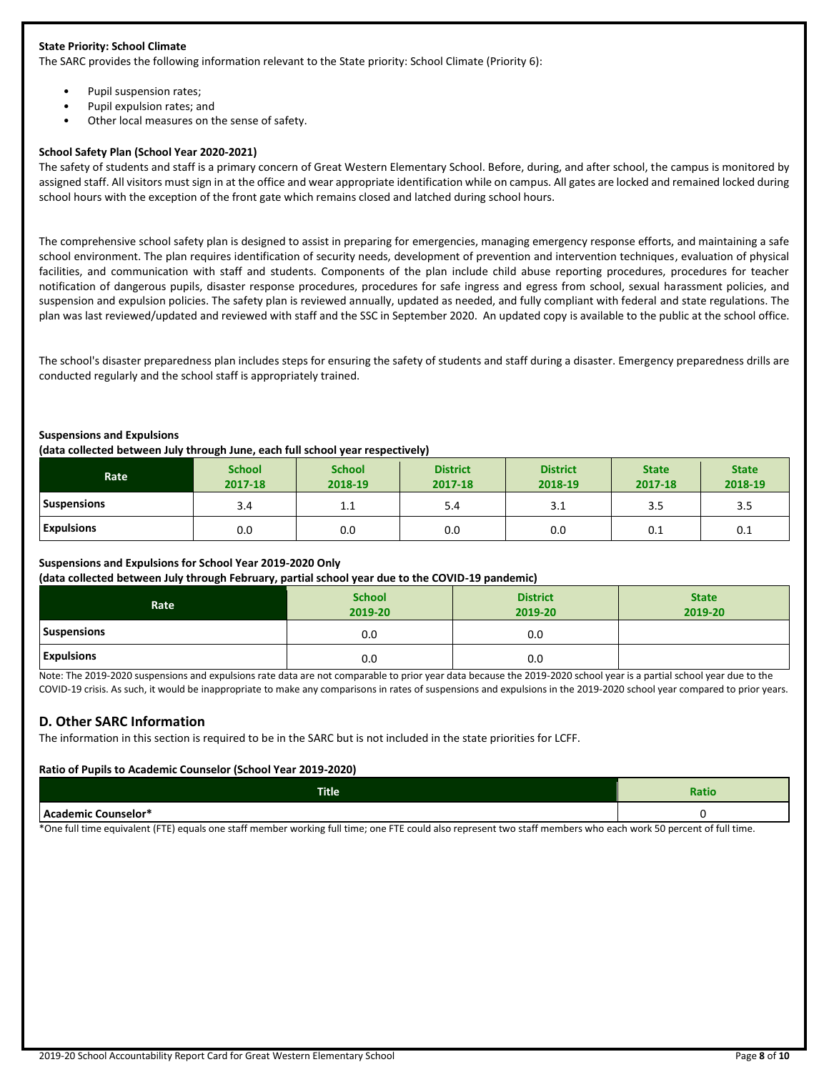### **State Priority: School Climate**

The SARC provides the following information relevant to the State priority: School Climate (Priority 6):

- Pupil suspension rates;
- Pupil expulsion rates; and
- Other local measures on the sense of safety.

### **School Safety Plan (School Year 2020-2021)**

The safety of students and staff is a primary concern of Great Western Elementary School. Before, during, and after school, the campus is monitored by assigned staff. All visitors must sign in at the office and wear appropriate identification while on campus. All gates are locked and remained locked during school hours with the exception of the front gate which remains closed and latched during school hours.

The comprehensive school safety plan is designed to assist in preparing for emergencies, managing emergency response efforts, and maintaining a safe school environment. The plan requires identification of security needs, development of prevention and intervention techniques, evaluation of physical facilities, and communication with staff and students. Components of the plan include child abuse reporting procedures, procedures for teacher notification of dangerous pupils, disaster response procedures, procedures for safe ingress and egress from school, sexual harassment policies, and suspension and expulsion policies. The safety plan is reviewed annually, updated as needed, and fully compliant with federal and state regulations. The plan was last reviewed/updated and reviewed with staff and the SSC in September 2020. An updated copy is available to the public at the school office.

The school's disaster preparedness plan includes steps for ensuring the safety of students and staff during a disaster. Emergency preparedness drills are conducted regularly and the school staff is appropriately trained.

### **Suspensions and Expulsions**

**(data collected between July through June, each full school year respectively)**

| Rate               | <b>School</b><br>2017-18 | <b>School</b><br>2018-19 | <b>District</b><br>2017-18 | <b>District</b><br>2018-19 | <b>State</b><br>2017-18 | <b>State</b><br>2018-19 |
|--------------------|--------------------------|--------------------------|----------------------------|----------------------------|-------------------------|-------------------------|
| <b>Suspensions</b> | 3.4                      | <b></b>                  | 5.4                        | 3.1                        | 3.5                     | 3.5                     |
| <b>Expulsions</b>  | 0.0                      | 0.0                      | 0.0                        | 0.0                        | 0.1                     | 0.1                     |

### **Suspensions and Expulsions for School Year 2019-2020 Only**

**(data collected between July through February, partial school year due to the COVID-19 pandemic)**

| Rate               | <b>School</b><br>2019-20 | <b>District</b><br>2019-20 | <b>State</b><br>2019-20 |
|--------------------|--------------------------|----------------------------|-------------------------|
| <b>Suspensions</b> | 0.0                      | 0.0                        |                         |
| <b>Expulsions</b>  | 0.0                      | 0.0                        |                         |

Note: The 2019-2020 suspensions and expulsions rate data are not comparable to prior year data because the 2019-2020 school year is a partial school year due to the COVID-19 crisis. As such, it would be inappropriate to make any comparisons in rates of suspensions and expulsions in the 2019-2020 school year compared to prior years.

# **D. Other SARC Information**

The information in this section is required to be in the SARC but is not included in the state priorities for LCFF.

### **Ratio of Pupils to Academic Counselor (School Year 2019-2020)**

| <b>Title</b> | rauu |
|--------------|------|
| Counselor"   |      |

\*One full time equivalent (FTE) equals one staff member working full time; one FTE could also represent two staff members who each work 50 percent of full time.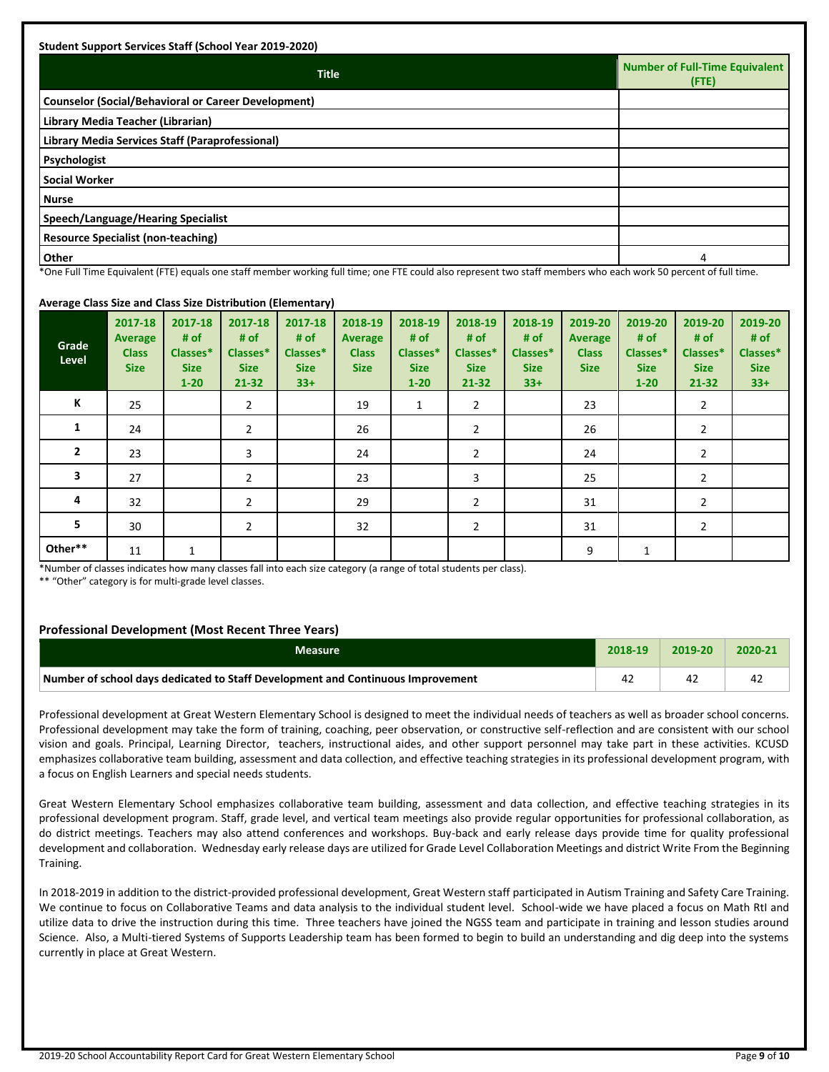| <b>Title</b>                                               | Number of Full-Time Equivalent<br>(FTE) |
|------------------------------------------------------------|-----------------------------------------|
| <b>Counselor (Social/Behavioral or Career Development)</b> |                                         |
| Library Media Teacher (Librarian)                          |                                         |
| Library Media Services Staff (Paraprofessional)            |                                         |
| Psychologist                                               |                                         |
| <b>Social Worker</b>                                       |                                         |
| <b>Nurse</b>                                               |                                         |
| Speech/Language/Hearing Specialist                         |                                         |
| <b>Resource Specialist (non-teaching)</b>                  |                                         |
| <b>Other</b>                                               | Δ                                       |

\*One Full Time Equivalent (FTE) equals one staff member working full time; one FTE could also represent two staff members who each work 50 percent of full time.

### **Average Class Size and Class Size Distribution (Elementary)**

| $\tilde{\phantom{a}}$<br>Grade<br>Level | 2017-18<br><b>Average</b><br><b>Class</b><br><b>Size</b> | 2017-18<br># of<br>Classes*<br><b>Size</b><br>$1 - 20$ | 2017-18<br># of<br>Classes*<br><b>Size</b><br>21-32 | $\cdot$<br>2017-18<br># of<br>Classes*<br><b>Size</b><br>$33+$ | 2018-19<br>Average<br><b>Class</b><br><b>Size</b> | 2018-19<br># of<br>Classes*<br><b>Size</b><br>$1 - 20$ | 2018-19<br># of<br>Classes*<br><b>Size</b><br>21-32 | 2018-19<br># of<br>Classes*<br><b>Size</b><br>$33+$ | 2019-20<br><b>Average</b><br><b>Class</b><br><b>Size</b> | 2019-20<br># of<br>Classes*<br><b>Size</b><br>$1 - 20$ | 2019-20<br># of<br>Classes*<br><b>Size</b><br>$21 - 32$ | 2019-20<br># of<br>Classes*<br><b>Size</b><br>$33+$ |
|-----------------------------------------|----------------------------------------------------------|--------------------------------------------------------|-----------------------------------------------------|----------------------------------------------------------------|---------------------------------------------------|--------------------------------------------------------|-----------------------------------------------------|-----------------------------------------------------|----------------------------------------------------------|--------------------------------------------------------|---------------------------------------------------------|-----------------------------------------------------|
| К                                       | 25                                                       |                                                        | $\overline{2}$                                      |                                                                | 19                                                | 1                                                      | $\overline{2}$                                      |                                                     | 23                                                       |                                                        | $\overline{2}$                                          |                                                     |
| 1                                       | 24                                                       |                                                        | $\overline{2}$                                      |                                                                | 26                                                |                                                        | 2                                                   |                                                     | 26                                                       |                                                        | $\overline{2}$                                          |                                                     |
| $\overline{2}$                          | 23                                                       |                                                        | 3                                                   |                                                                | 24                                                |                                                        | 2                                                   |                                                     | 24                                                       |                                                        | $\overline{2}$                                          |                                                     |
| 3                                       | 27                                                       |                                                        | $\overline{2}$                                      |                                                                | 23                                                |                                                        | 3                                                   |                                                     | 25                                                       |                                                        | $\overline{2}$                                          |                                                     |
| 4                                       | 32                                                       |                                                        | $\overline{2}$                                      |                                                                | 29                                                |                                                        | $\overline{2}$                                      |                                                     | 31                                                       |                                                        | $\overline{2}$                                          |                                                     |
| 5                                       | 30                                                       |                                                        | $\overline{2}$                                      |                                                                | 32                                                |                                                        | 2                                                   |                                                     | 31                                                       |                                                        | $\overline{2}$                                          |                                                     |
| Other**                                 | 11                                                       | $\mathbf{1}$                                           |                                                     |                                                                |                                                   |                                                        |                                                     |                                                     | 9                                                        | 1                                                      |                                                         |                                                     |

\*Number of classes indicates how many classes fall into each size category (a range of total students per class).

\*\* "Other" category is for multi-grade level classes.

### **Professional Development (Most Recent Three Years)**

| Measure                                                                         | 2018-19 | 2019-20 | 2020-2 |
|---------------------------------------------------------------------------------|---------|---------|--------|
| Number of school days dedicated to Staff Development and Continuous Improvement |         |         |        |

Professional development at Great Western Elementary School is designed to meet the individual needs of teachers as well as broader school concerns. Professional development may take the form of training, coaching, peer observation, or constructive self-reflection and are consistent with our school vision and goals. Principal, Learning Director, teachers, instructional aides, and other support personnel may take part in these activities. KCUSD emphasizes collaborative team building, assessment and data collection, and effective teaching strategies in its professional development program, with a focus on English Learners and special needs students.

Great Western Elementary School emphasizes collaborative team building, assessment and data collection, and effective teaching strategies in its professional development program. Staff, grade level, and vertical team meetings also provide regular opportunities for professional collaboration, as do district meetings. Teachers may also attend conferences and workshops. Buy-back and early release days provide time for quality professional development and collaboration. Wednesday early release days are utilized for Grade Level Collaboration Meetings and district Write From the Beginning Training.

In 2018-2019 in addition to the district-provided professional development, Great Western staff participated in Autism Training and Safety Care Training. We continue to focus on Collaborative Teams and data analysis to the individual student level. School-wide we have placed a focus on Math RtI and utilize data to drive the instruction during this time. Three teachers have joined the NGSS team and participate in training and lesson studies around Science. Also, a Multi-tiered Systems of Supports Leadership team has been formed to begin to build an understanding and dig deep into the systems currently in place at Great Western.